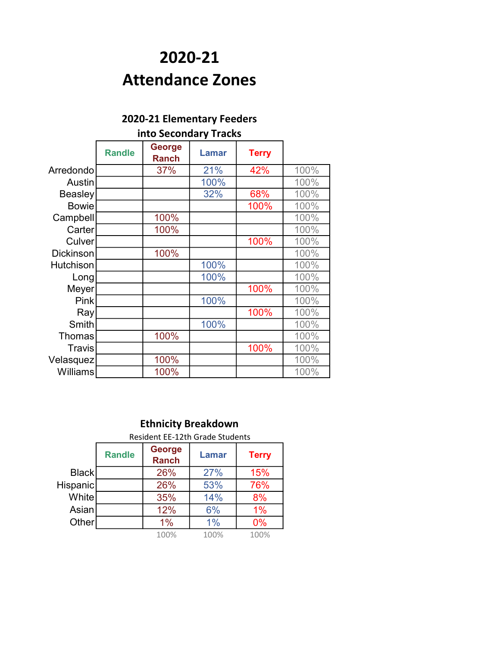## 2020-21 Attendance Zones

| <b>LULU-LI LICIIICIILAI Y FECUCI S</b> |                       |                               |              |              |      |  |  |  |
|----------------------------------------|-----------------------|-------------------------------|--------------|--------------|------|--|--|--|
|                                        | into Secondary Tracks |                               |              |              |      |  |  |  |
|                                        | <b>Randle</b>         | <b>George</b><br><b>Ranch</b> | <b>Lamar</b> | <b>Terry</b> |      |  |  |  |
| Arredondo                              |                       | 37%                           | 21%          | 42%          | 100% |  |  |  |
| Austin                                 |                       |                               | 100%         |              | 100% |  |  |  |
| <b>Beasley</b>                         |                       |                               | 32%          | 68%          | 100% |  |  |  |
| <b>Bowie</b>                           |                       |                               |              | 100%         | 100% |  |  |  |
| Campbell                               |                       | 100%                          |              |              | 100% |  |  |  |
| Carter                                 |                       | 100%                          |              |              | 100% |  |  |  |
| Culver                                 |                       |                               |              | 100%         | 100% |  |  |  |
| <b>Dickinson</b>                       |                       | 100%                          |              |              | 100% |  |  |  |
| <b>Hutchison</b>                       |                       |                               | 100%         |              | 100% |  |  |  |
| Long                                   |                       |                               | 100%         |              | 100% |  |  |  |
| Meyer                                  |                       |                               |              | 100%         | 100% |  |  |  |
| Pink                                   |                       |                               | 100%         |              | 100% |  |  |  |
| Ray                                    |                       |                               |              | 100%         | 100% |  |  |  |
| Smith                                  |                       |                               | 100%         |              | 100% |  |  |  |
| <b>Thomas</b>                          |                       | 100%                          |              |              | 100% |  |  |  |
| <b>Travis</b>                          |                       |                               |              | 100%         | 100% |  |  |  |
| Velasquez                              |                       | 100%                          |              |              | 100% |  |  |  |
| <b>Williams</b>                        |                       | 100%                          |              |              | 100% |  |  |  |

| <b>Ethnicity Breakdown</b> |                                                                                |                                 |      |       |  |  |  |
|----------------------------|--------------------------------------------------------------------------------|---------------------------------|------|-------|--|--|--|
|                            |                                                                                | Resident EE-12th Grade Students |      |       |  |  |  |
|                            | <b>George</b><br><b>Randle</b><br><b>Lamar</b><br><b>Terry</b><br><b>Ranch</b> |                                 |      |       |  |  |  |
| <b>Black</b>               |                                                                                | 26%                             | 27%  | 15%   |  |  |  |
| Hispanic                   |                                                                                | 26%                             | 53%  | 76%   |  |  |  |
| White                      |                                                                                | 35%                             | 14%  | 8%    |  |  |  |
| Asian                      |                                                                                | 12%                             | 6%   | $1\%$ |  |  |  |
| Other                      |                                                                                | 1%                              | 1%   | $0\%$ |  |  |  |
|                            |                                                                                | 100%                            | 100% | 100%  |  |  |  |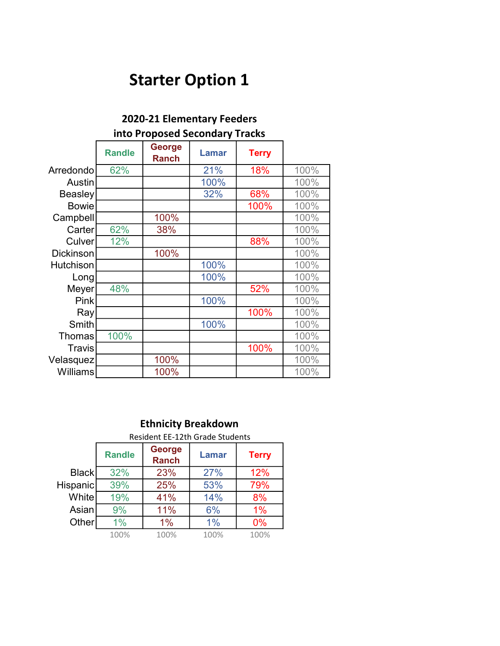# Starter Option 1

| ZUZU-ZI EIEMIENIJIY FEEUEIS |                                |                               |              |              |      |  |  |
|-----------------------------|--------------------------------|-------------------------------|--------------|--------------|------|--|--|
|                             | into Proposed Secondary Tracks |                               |              |              |      |  |  |
|                             | <b>Randle</b>                  | <b>George</b><br><b>Ranch</b> | <b>Lamar</b> | <b>Terry</b> |      |  |  |
| Arredondo                   | 62%                            |                               | 21%          | 18%          | 100% |  |  |
| Austin                      |                                |                               | 100%         |              | 100% |  |  |
| <b>Beasley</b>              |                                |                               | 32%          | 68%          | 100% |  |  |
| <b>Bowie</b>                |                                |                               |              | 100%         | 100% |  |  |
| Campbell                    |                                | 100%                          |              |              | 100% |  |  |
| Carter                      | 62%                            | 38%                           |              |              | 100% |  |  |
| Culver                      | 12%                            |                               |              | 88%          | 100% |  |  |
| <b>Dickinson</b>            |                                | 100%                          |              |              | 100% |  |  |
| Hutchison                   |                                |                               | 100%         |              | 100% |  |  |
| Long                        |                                |                               | 100%         |              | 100% |  |  |
| Meyer                       | 48%                            |                               |              | 52%          | 100% |  |  |
| <b>Pink</b>                 |                                |                               | 100%         |              | 100% |  |  |
| Ray                         |                                |                               |              | 100%         | 100% |  |  |
| Smith                       |                                |                               | 100%         |              | 100% |  |  |
| <b>Thomas</b>               | 100%                           |                               |              |              | 100% |  |  |
| <b>Travis</b>               |                                |                               |              | 100%         | 100% |  |  |
| Velasquez                   |                                | 100%                          |              |              | 100% |  |  |
| <b>Williams</b>             |                                | 100%                          |              |              | 100% |  |  |

|              | <b>Ethnicity Breakdown</b> |                                                        |      |      |  |  |  |
|--------------|----------------------------|--------------------------------------------------------|------|------|--|--|--|
|              |                            | <b>Resident EE-12th Grade Students</b>                 |      |      |  |  |  |
|              | <b>Randle</b>              | George<br><b>Lamar</b><br><b>Terry</b><br><b>Ranch</b> |      |      |  |  |  |
| Black        | 32%                        | 23%                                                    | 27%  | 12%  |  |  |  |
| Hispanic     | 39%                        | 25%                                                    | 53%  | 79%  |  |  |  |
| <b>White</b> | 19%                        | 41%                                                    | 14%  | 8%   |  |  |  |
| Asian        | 9%                         | 11%                                                    | 6%   | 1%   |  |  |  |
| Other        | $1\%$                      | $1\%$                                                  | 1%   | 0%   |  |  |  |
|              | 100%                       | 100%                                                   | 100% | 100% |  |  |  |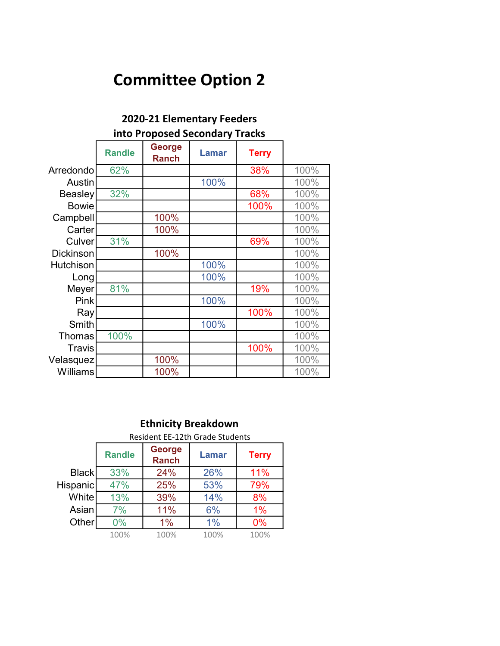| <b>2020-21 Elementary Feeders</b> |               |                                |              |              |      |  |
|-----------------------------------|---------------|--------------------------------|--------------|--------------|------|--|
|                                   |               | into Proposed Secondary Tracks |              |              |      |  |
|                                   | <b>Randle</b> | <b>George</b><br><b>Ranch</b>  | <b>Lamar</b> | <b>Terry</b> |      |  |
| Arredondo                         | 62%           |                                |              | 38%          | 100% |  |
| Austin                            |               |                                | 100%         |              | 100% |  |
| Beasley                           | 32%           |                                |              | 68%          | 100% |  |
| <b>Bowie</b>                      |               |                                |              | 100%         | 100% |  |
| Campbell                          |               | 100%                           |              |              | 100% |  |
| Carter                            |               | 100%                           |              |              | 100% |  |
| Culver                            | 31%           |                                |              | 69%          | 100% |  |
| <b>Dickinson</b>                  |               | 100%                           |              |              | 100% |  |
| <b>Hutchison</b>                  |               |                                | 100%         |              | 100% |  |
| Long                              |               |                                | 100%         |              | 100% |  |
| Meyer                             | 81%           |                                |              | 19%          | 100% |  |
| Pink                              |               |                                | 100%         |              | 100% |  |
| Ray                               |               |                                |              | 100%         | 100% |  |
| Smith                             |               |                                | 100%         |              | 100% |  |
| <b>Thomas</b>                     | 100%          |                                |              |              | 100% |  |
| Travis                            |               |                                |              | 100%         | 100% |  |
| Velasquez                         |               | 100%                           |              |              | 100% |  |
| <b>Williams</b>                   |               | 100%                           |              |              | 100% |  |

|              | <b>Ethnicity Breakdown</b> |                                                        |      |       |  |  |  |  |
|--------------|----------------------------|--------------------------------------------------------|------|-------|--|--|--|--|
|              |                            | <b>Resident EE-12th Grade Students</b>                 |      |       |  |  |  |  |
|              | <b>Randle</b>              | <b>George</b><br>Lamar<br><b>Terry</b><br><b>Ranch</b> |      |       |  |  |  |  |
| <b>Black</b> | 33%                        | 24%                                                    | 26%  | 11%   |  |  |  |  |
| Hispanic     | 47%                        | 25%                                                    | 53%  | 79%   |  |  |  |  |
| Whitel       | 13%                        | 39%                                                    | 14%  | 8%    |  |  |  |  |
| Asian        | 7%                         | 11%                                                    | 6%   | $1\%$ |  |  |  |  |
| Other        | 0%                         | $1\%$                                                  | 1%   | 0%    |  |  |  |  |
|              | 100%                       | 100%                                                   | 100% | 100%  |  |  |  |  |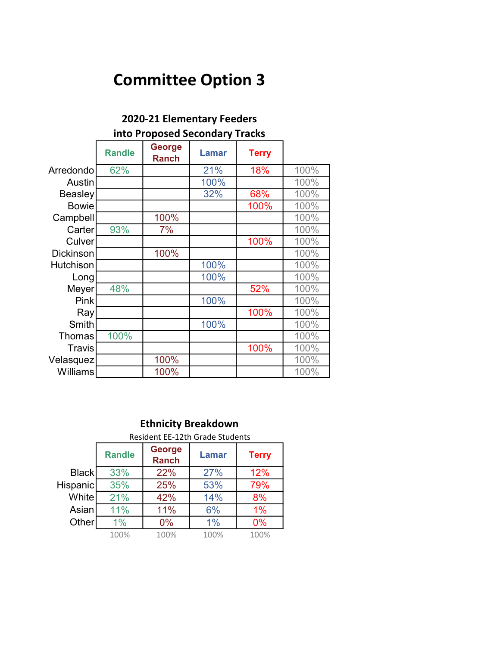| 2020-21 Elementary Feeders |               |                                |              |              |      |  |
|----------------------------|---------------|--------------------------------|--------------|--------------|------|--|
|                            |               | into Proposed Secondary Tracks |              |              |      |  |
|                            | <b>Randle</b> | George<br><b>Ranch</b>         | <b>Lamar</b> | <b>Terry</b> |      |  |
| Arredondo                  | 62%           |                                | 21%          | 18%          | 100% |  |
| Austin                     |               |                                | 100%         |              | 100% |  |
| Beasley                    |               |                                | 32%          | 68%          | 100% |  |
| <b>Bowie</b>               |               |                                |              | 100%         | 100% |  |
| Campbell                   |               | 100%                           |              |              | 100% |  |
| Carter                     | 93%           | 7%                             |              |              | 100% |  |
| Culver                     |               |                                |              | 100%         | 100% |  |
| <b>Dickinson</b>           |               | 100%                           |              |              | 100% |  |
| Hutchison                  |               |                                | 100%         |              | 100% |  |
| Long                       |               |                                | 100%         |              | 100% |  |
| Meyer                      | 48%           |                                |              | 52%          | 100% |  |
| Pink                       |               |                                | 100%         |              | 100% |  |
| Ray                        |               |                                |              | 100%         | 100% |  |
| Smith                      |               |                                | 100%         |              | 100% |  |
| Thomas                     | 100%          |                                |              |              | 100% |  |
| Travis                     |               |                                |              | 100%         | 100% |  |
| Velasquez                  |               | 100%                           |              |              | 100% |  |
| <b>Williams</b>            |               | 100%                           |              |              | 100% |  |

|          | <b>Ethnicity Breakdown</b> |                                                        |      |       |  |  |  |  |
|----------|----------------------------|--------------------------------------------------------|------|-------|--|--|--|--|
|          |                            | <b>Resident EE-12th Grade Students</b>                 |      |       |  |  |  |  |
|          | <b>Randle</b>              | George<br><b>Terry</b><br><b>Lamar</b><br><b>Ranch</b> |      |       |  |  |  |  |
| Black    | 33%                        | 22%                                                    | 27%  | 12%   |  |  |  |  |
| Hispanic | 35%                        | 25%                                                    | 53%  | 79%   |  |  |  |  |
| Whitel   | 21%                        | 42%                                                    | 14%  | 8%    |  |  |  |  |
| Asianl   | 11%                        | 11%                                                    | 6%   | $1\%$ |  |  |  |  |
| Other    | 1%                         | $0\%$                                                  | 1%   | 0%    |  |  |  |  |
|          | 100%                       | 100%                                                   | 100% | 100%  |  |  |  |  |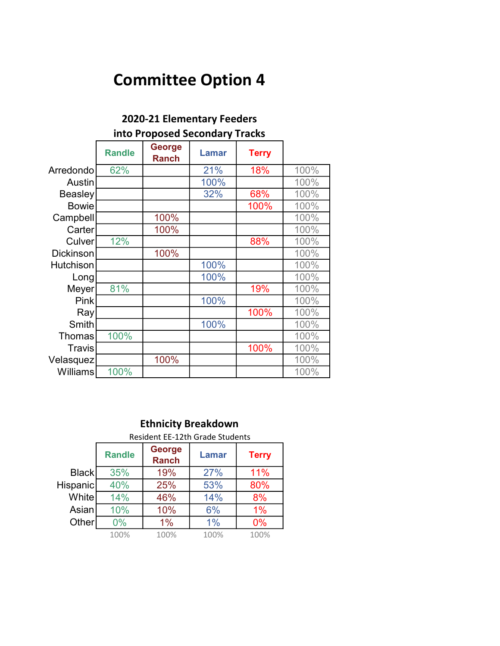| EULU LI LICIIICIIUI V I CCUCIJ |                                |                               |              |              |      |  |  |
|--------------------------------|--------------------------------|-------------------------------|--------------|--------------|------|--|--|
|                                | into Proposed Secondary Tracks |                               |              |              |      |  |  |
|                                | <b>Randle</b>                  | <b>George</b><br><b>Ranch</b> | <b>Lamar</b> | <b>Terry</b> |      |  |  |
| Arredondo                      | 62%                            |                               | 21%          | 18%          | 100% |  |  |
| Austin                         |                                |                               | 100%         |              | 100% |  |  |
| <b>Beasley</b>                 |                                |                               | 32%          | 68%          | 100% |  |  |
| <b>Bowie</b>                   |                                |                               |              | 100%         | 100% |  |  |
| Campbell                       |                                | 100%                          |              |              | 100% |  |  |
| Carter                         |                                | 100%                          |              |              | 100% |  |  |
| Culver                         | 12%                            |                               |              | 88%          | 100% |  |  |
| <b>Dickinson</b>               |                                | 100%                          |              |              | 100% |  |  |
| Hutchison                      |                                |                               | 100%         |              | 100% |  |  |
| Long                           |                                |                               | 100%         |              | 100% |  |  |
| Meyer                          | 81%                            |                               |              | 19%          | 100% |  |  |
| <b>Pink</b>                    |                                |                               | 100%         |              | 100% |  |  |
| Ray                            |                                |                               |              | 100%         | 100% |  |  |
| Smith                          |                                |                               | 100%         |              | 100% |  |  |
| <b>Thomas</b>                  | 100%                           |                               |              |              | 100% |  |  |
| <b>Travis</b>                  |                                |                               |              | 100%         | 100% |  |  |
| Velasquez                      |                                | 100%                          |              |              | 100% |  |  |
| Williams                       | 100%                           |                               |              |              | 100% |  |  |

|              | <b>Ethnicity Breakdown</b> |                                                        |       |      |  |  |  |  |
|--------------|----------------------------|--------------------------------------------------------|-------|------|--|--|--|--|
|              |                            | <b>Resident EE-12th Grade Students</b>                 |       |      |  |  |  |  |
|              | <b>Randle</b>              | George<br><b>Lamar</b><br><b>Terry</b><br><b>Ranch</b> |       |      |  |  |  |  |
| <b>Black</b> | 35%                        | 19%                                                    | 27%   | 11%  |  |  |  |  |
| Hispanic     | 40%                        | 25%                                                    | 53%   | 80%  |  |  |  |  |
| Whitel       | 14%                        | 46%                                                    | 14%   | 8%   |  |  |  |  |
| Asian        | 10%                        | 10%                                                    | 6%    | 1%   |  |  |  |  |
| Other        | $0\%$                      | 1%                                                     | $1\%$ | 0%   |  |  |  |  |
|              | 100%                       | 100%                                                   | 100%  | 100% |  |  |  |  |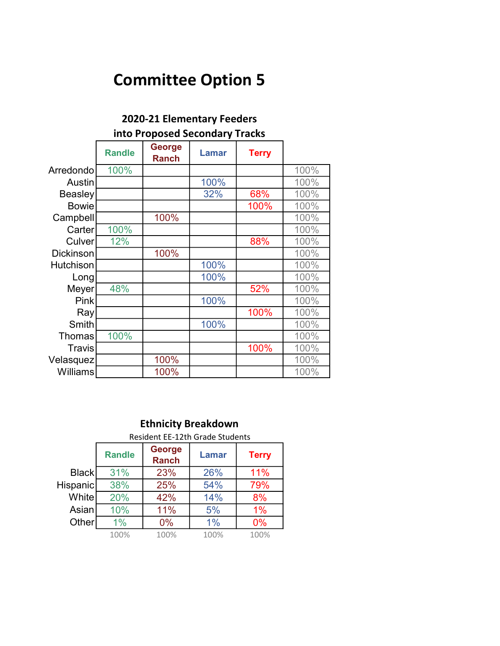| 2020-21 Elementary Feeders |               |                                |              |              |      |  |
|----------------------------|---------------|--------------------------------|--------------|--------------|------|--|
|                            |               | into Proposed Secondary Tracks |              |              |      |  |
|                            | <b>Randle</b> | <b>George</b><br><b>Ranch</b>  | <b>Lamar</b> | <b>Terry</b> |      |  |
| Arredondo                  | 100%          |                                |              |              | 100% |  |
| Austin                     |               |                                | 100%         |              | 100% |  |
| <b>Beasley</b>             |               |                                | 32%          | 68%          | 100% |  |
| <b>Bowie</b>               |               |                                |              | 100%         | 100% |  |
| Campbell                   |               | 100%                           |              |              | 100% |  |
| Carter                     | 100%          |                                |              |              | 100% |  |
| Culver                     | 12%           |                                |              | 88%          | 100% |  |
| <b>Dickinson</b>           |               | 100%                           |              |              | 100% |  |
| <b>Hutchison</b>           |               |                                | 100%         |              | 100% |  |
| Long                       |               |                                | 100%         |              | 100% |  |
| Meyer                      | 48%           |                                |              | 52%          | 100% |  |
| Pink                       |               |                                | 100%         |              | 100% |  |
| Ray                        |               |                                |              | 100%         | 100% |  |
| Smith                      |               |                                | 100%         |              | 100% |  |
| <b>Thomas</b>              | 100%          |                                |              |              | 100% |  |
| Travis                     |               |                                |              | 100%         | 100% |  |
| Velasquez                  |               | 100%                           |              |              | 100% |  |
| Williams                   |               | 100%                           |              |              | 100% |  |

#### Randle George Ranch Lamar Terry Black 31% 23% 26% 11% Hispanic 38% 25% 54% 79% White 20% 42% 14% 8% Asian 10% 11% 5% 1% Other 1% 0% 1% 0% 100% 100% 100% 100% Ethnicity Breakdown Resident EE-12th Grade Students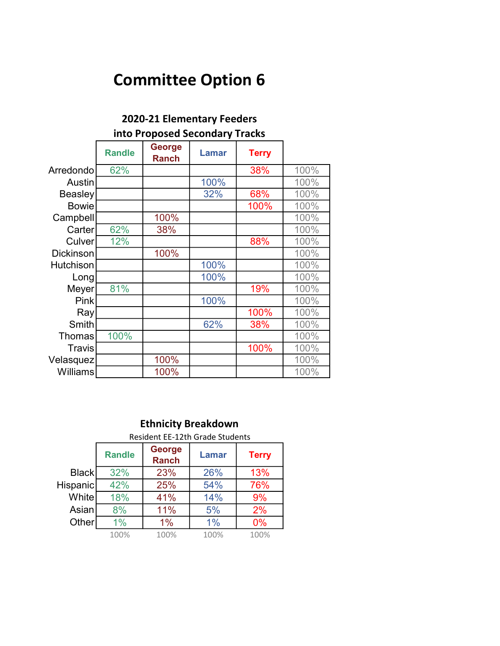| 2020-21 Elementary Feeders |               |                                |              |              |      |  |
|----------------------------|---------------|--------------------------------|--------------|--------------|------|--|
|                            |               | into Proposed Secondary Tracks |              |              |      |  |
|                            | <b>Randle</b> | <b>George</b><br><b>Ranch</b>  | <b>Lamar</b> | <b>Terry</b> |      |  |
| Arredondo                  | 62%           |                                |              | 38%          | 100% |  |
| Austin                     |               |                                | 100%         |              | 100% |  |
| <b>Beasley</b>             |               |                                | 32%          | 68%          | 100% |  |
| <b>Bowie</b>               |               |                                |              | 100%         | 100% |  |
| Campbell                   |               | 100%                           |              |              | 100% |  |
| Carter                     | 62%           | 38%                            |              |              | 100% |  |
| Culver                     | 12%           |                                |              | 88%          | 100% |  |
| <b>Dickinson</b>           |               | 100%                           |              |              | 100% |  |
| <b>Hutchison</b>           |               |                                | 100%         |              | 100% |  |
| Long                       |               |                                | 100%         |              | 100% |  |
| Meyer                      | 81%           |                                |              | 19%          | 100% |  |
| Pink                       |               |                                | 100%         |              | 100% |  |
| Ray                        |               |                                |              | 100%         | 100% |  |
| Smith                      |               |                                | 62%          | 38%          | 100% |  |
| <b>Thomas</b>              | 100%          |                                |              |              | 100% |  |
| Travis                     |               |                                |              | 100%         | 100% |  |
| Velasquez                  |               | 100%                           |              |              | 100% |  |
| <b>Williams</b>            |               | 100%                           |              |              | 100% |  |

|                 | <b>Ethnicity Breakdown</b>             |                               |              |      |  |  |
|-----------------|----------------------------------------|-------------------------------|--------------|------|--|--|
|                 | <b>Resident EE-12th Grade Students</b> |                               |              |      |  |  |
|                 | <b>Randle</b>                          | <b>George</b><br><b>Ranch</b> | <b>Terry</b> |      |  |  |
| <b>Black</b>    | 32%                                    | 23%                           | 26%          | 13%  |  |  |
| <b>Hispanic</b> | 42%                                    | 25%                           | 54%          | 76%  |  |  |
| White           | 18%                                    | 41%                           | 14%          | 9%   |  |  |
| Asian           | 8%                                     | 11%                           | 5%           | 2%   |  |  |
| Other           | $1\%$                                  | $1\%$                         | 1%           | 0%   |  |  |
|                 | 100%                                   | 100%                          | 100%         | 100% |  |  |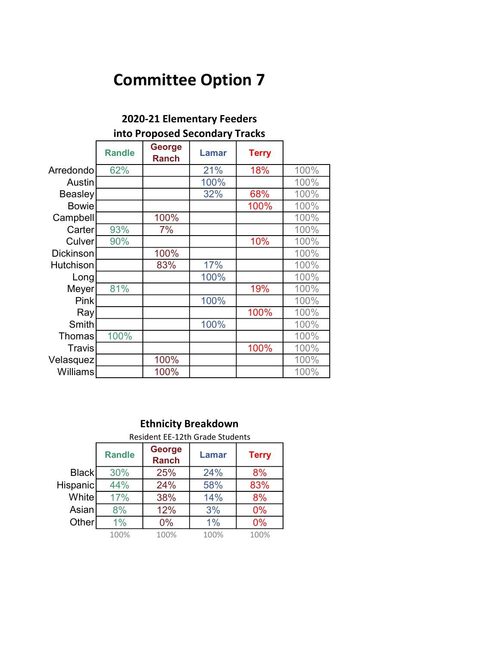| into Proposed Secondary Tracks |               |                               |              |              |      |
|--------------------------------|---------------|-------------------------------|--------------|--------------|------|
|                                | <b>Randle</b> | <b>George</b><br><b>Ranch</b> | <b>Lamar</b> | <b>Terry</b> |      |
| Arredondo                      | 62%           |                               | 21%          | 18%          | 100% |
| Austin                         |               |                               | 100%         |              | 100% |
| <b>Beasley</b>                 |               |                               | 32%          | 68%          | 100% |
| <b>Bowie</b>                   |               |                               |              | 100%         | 100% |
| Campbell                       |               | 100%                          |              |              | 100% |
| Carter                         | 93%           | 7%                            |              |              | 100% |
| Culver                         | 90%           |                               |              | 10%          | 100% |
| <b>Dickinson</b>               |               | 100%                          |              |              | 100% |
| <b>Hutchison</b>               |               | 83%                           | 17%          |              | 100% |
| Long                           |               |                               | 100%         |              | 100% |
| Meyer                          | 81%           |                               |              | 19%          | 100% |
| <b>Pink</b>                    |               |                               | 100%         |              | 100% |
| Ray                            |               |                               |              | 100%         | 100% |
| Smith                          |               |                               | 100%         |              | 100% |
| <b>Thomas</b>                  | 100%          |                               |              |              | 100% |
| Travis                         |               |                               |              | 100%         | 100% |
| Velasquez                      |               | 100%                          |              |              | 100% |
| Williams                       |               | 100%                          |              |              | 100% |

|              | <b>Ethnicity Breakdown</b>      |                                        |       |              |  |
|--------------|---------------------------------|----------------------------------------|-------|--------------|--|
|              | Resident EE-12th Grade Students |                                        |       |              |  |
|              | <b>Randle</b>                   | George<br><b>Lamar</b><br><b>Ranch</b> |       | <b>Terry</b> |  |
| <b>Black</b> | 30%                             | 25%                                    | 24%   | 8%           |  |
| Hispanic     | 44%                             | 24%                                    | 58%   | 83%          |  |
| <b>White</b> | 17%                             | 38%                                    | 14%   | 8%           |  |
| Asian        | 8%                              | 12%                                    | 3%    | 0%           |  |
| Other        | $1\%$                           | $0\%$                                  | $1\%$ | 0%           |  |
|              | 100%                            | 100%                                   | 100%  | 100%         |  |